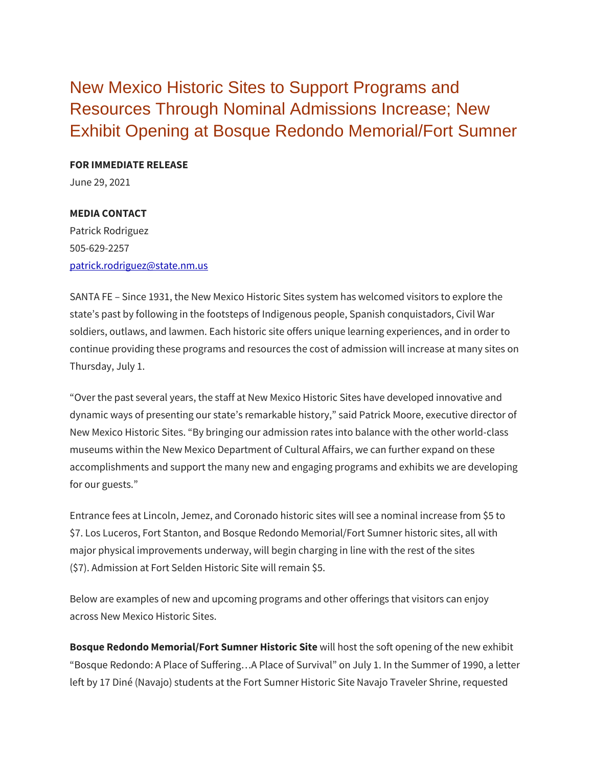New Mexico Historic Sites to Support Programs and Resources Through Nominal Admissions Increase; New Exhibit Opening at Bosque Redondo Memorial/Fort Sumner

**FOR IMMEDIATE RELEASE**

June 29, 2021

## **MEDIA CONTACT**

Patrick Rodriguez 505-629-2257 [patrick.rodriguez@state.nm.us](mailto:patrick.rodriguez@state.nm.us)

SANTA FE – Since 1931, the New Mexico Historic Sites system has welcomed visitors to explore the state's past by following in the footsteps of Indigenous people, Spanish conquistadors, Civil War soldiers, outlaws, and lawmen. Each historic site offers unique learning experiences, and in order to continue providing these programs and resources the cost of admission will increase at many sites on Thursday, July 1.

"Over the past several years, the staff at New Mexico Historic Sites have developed innovative and dynamic ways of presenting our state's remarkable history," said Patrick Moore, executive director of New Mexico Historic Sites. "By bringing our admission rates into balance with the other world-class museums within the New Mexico Department of Cultural Affairs, we can further expand on these accomplishments and support the many new and engaging programs and exhibits we are developing for our guests."

Entrance fees at Lincoln, Jemez, and Coronado historic sites will see a nominal increase from \$5 to \$7. Los Luceros, Fort Stanton, and Bosque Redondo Memorial/Fort Sumner historic sites, all with major physical improvements underway, will begin charging in line with the rest of the sites (\$7). Admission at Fort Selden Historic Site will remain \$5.

Below are examples of new and upcoming programs and other offerings that visitors can enjoy across New Mexico Historic Sites.

**Bosque Redondo Memorial/Fort Sumner Historic Site** will host the soft opening of the new exhibit "Bosque Redondo: A Place of Suffering…A Place of Survival" on July 1. In the Summer of 1990, a letter left by 17 Diné (Navajo) students at the Fort Sumner Historic Site Navajo Traveler Shrine, requested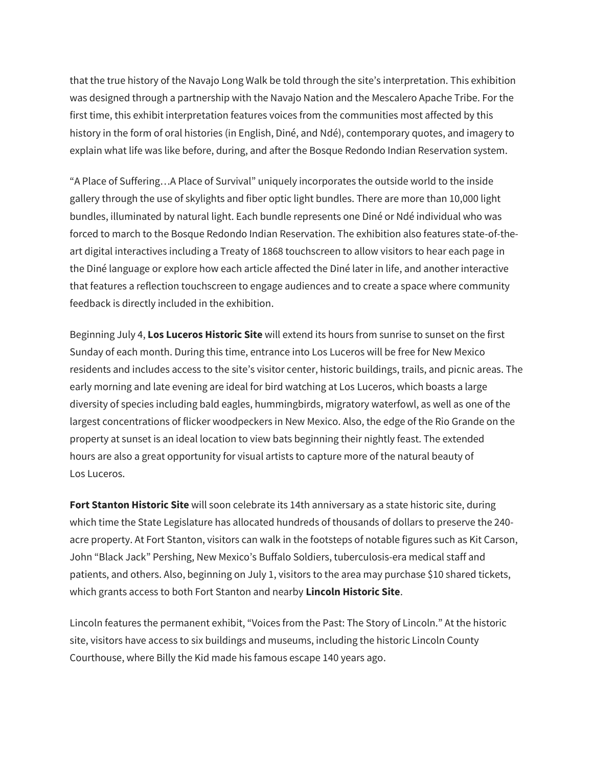that the true history of the Navajo Long Walk be told through the site's interpretation. This exhibition was designed through a partnership with the Navajo Nation and the Mescalero Apache Tribe. For the first time, this exhibit interpretation features voices from the communities most affected by this history in the form of oral histories (in English, Diné, and Ndé), contemporary quotes, and imagery to explain what life was like before, during, and after the Bosque Redondo Indian Reservation system.

"A Place of Suffering…A Place of Survival" uniquely incorporates the outside world to the inside gallery through the use of skylights and fiber optic light bundles. There are more than 10,000 light bundles, illuminated by natural light. Each bundle represents one Diné or Ndé individual who was forced to march to the Bosque Redondo Indian Reservation. The exhibition also features state-of-theart digital interactives including a Treaty of 1868 touchscreen to allow visitors to hear each page in the Diné language or explore how each article affected the Diné later in life, and another interactive that features a reflection touchscreen to engage audiences and to create a space where community feedback is directly included in the exhibition.

Beginning July 4, **Los Luceros Historic Site** will extend its hours from sunrise to sunset on the first Sunday of each month. During this time, entrance into Los Luceros will be free for New Mexico residents and includes access to the site's visitor center, historic buildings, trails, and picnic areas. The early morning and late evening are ideal for bird watching at Los Luceros, which boasts a large diversity of species including bald eagles, hummingbirds, migratory waterfowl, as well as one of the largest concentrations of flicker woodpeckers in New Mexico. Also, the edge of the Rio Grande on the property at sunset is an ideal location to view bats beginning their nightly feast. The extended hours are also a great opportunity for visual artists to capture more of the natural beauty of Los Luceros.

**Fort Stanton Historic Site** will soon celebrate its 14th anniversary as a state historic site, during which time the State Legislature has allocated hundreds of thousands of dollars to preserve the 240 acre property. At Fort Stanton, visitors can walk in the footsteps of notable figures such as Kit Carson, John "Black Jack" Pershing, New Mexico's Buffalo Soldiers, tuberculosis-era medical staff and patients, and others. Also, beginning on July 1, visitors to the area may purchase \$10 shared tickets, which grants access to both Fort Stanton and nearby **Lincoln Historic Site**.

Lincoln features the permanent exhibit, "Voices from the Past: The Story of Lincoln." At the historic site, visitors have access to six buildings and museums, including the historic Lincoln County Courthouse, where Billy the Kid made his famous escape 140 years ago.